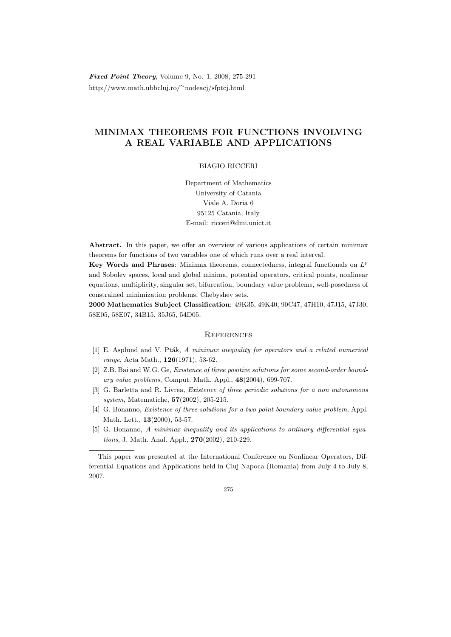Fixed Point Theory, Volume 9, No. 1, 2008, 275-291 http://www.math.ubbcluj.ro/<sup>∼</sup>nodeacj/sfptcj.html

# MINIMAX THEOREMS FOR FUNCTIONS INVOLVING A REAL VARIABLE AND APPLICATIONS

# BIAGIO RICCERI

Department of Mathematics University of Catania Viale A. Doria 6 95125 Catania, Italy E-mail: ricceri@dmi.unict.it

Abstract. In this paper, we offer an overview of various applications of certain minimax theorems for functions of two variables one of which runs over a real interval.

Key Words and Phrases: Minimax theorems, connectedness, integral functionals on  $L^p$ and Sobolev spaces, local and global minima, potential operators, critical points, nonlinear equations, multiplicity, singular set, bifurcation, boundary value problems, well-posedness of constrained minimization problems, Chebyshev sets.

2000 Mathematics Subject Classification: 49K35, 49K40, 90C47, 47H10, 47J15, 47J30, 58E05, 58E07, 34B15, 35J65, 54D05.

## **REFERENCES**

- $[1]$  E. Asplund and V. Pták, A minimax inequality for operators and a related numerical range, Acta Math., 126(1971), 53-62.
- [2] Z.B. Bai and W.G. Ge, *Existence of three positive solutions for some second-order bound*ary value problems, Comput. Math. Appl., 48(2004), 699-707.
- [3] G. Barletta and R. Livrea, Existence of three periodic solutions for a non autonomous system, Matematiche, 57(2002), 205-215.
- [4] G. Bonanno, *Existence of three solutions for a two point boundary value problem*, Appl. Math. Lett., **13**(2000), 53-57.
- [5] G. Bonanno, A minimax inequality and its applications to ordinary differential equations, J. Math. Anal. Appl., 270(2002), 210-229.

This paper was presented at the International Conference on Nonlinear Operators, Differential Equations and Applications held in Cluj-Napoca (Romania) from July 4 to July 8, 2007.

<sup>275</sup>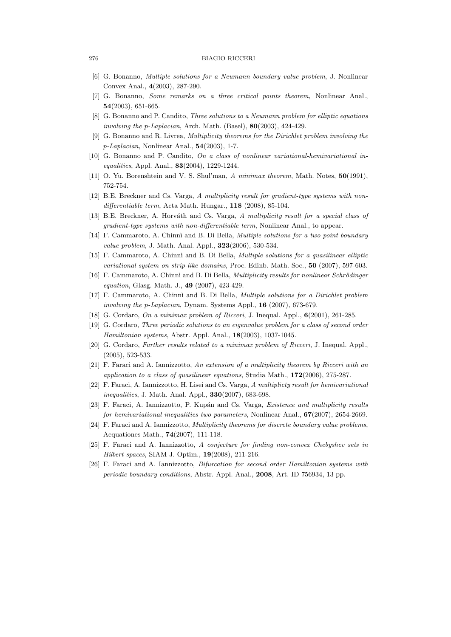#### 276 BIAGIO RICCERI

- [6] G. Bonanno, Multiple solutions for a Neumann boundary value problem, J. Nonlinear Convex Anal., 4(2003), 287-290.
- [7] G. Bonanno, Some remarks on a three critical points theorem, Nonlinear Anal., 54(2003), 651-665.
- [8] G. Bonanno and P. Candito, Three solutions to a Neumann problem for elliptic equations involving the p-Laplacian, Arch. Math. (Basel),  $80(2003)$ ,  $424-429$ .
- [9] G. Bonanno and R. Livrea, Multiplicity theorems for the Dirichlet problem involving the p-Laplacian, Nonlinear Anal., 54(2003), 1-7.
- [10] G. Bonanno and P. Candito, On a class of nonlinear variational-hemivariational inequalities, Appl. Anal., 83(2004), 1229-1244.
- [11] O. Yu. Borenshtein and V. S. Shul'man, A minimax theorem, Math. Notes, 50(1991), 752-754.
- [12] B.E. Breckner and Cs. Varga, A multiplicity result for gradient-type systems with nondifferentiable term, Acta Math. Hungar., 118 (2008), 85-104.
- [13] B.E. Breckner, A. Horváth and Cs. Varga, A multiplicity result for a special class of gradient-type systems with non-differentiable term, Nonlinear Anal., to appear.
- [14] F. Cammaroto, A. Chinnì and B. Di Bella, *Multiple solutions for a two point boundary* value problem, J. Math. Anal. Appl., **323**(2006), 530-534.
- [15] F. Cammaroto, A. Chinnì and B. Di Bella, *Multiple solutions for a quasilinear elliptic* variational system on strip-like domains, Proc. Edinb. Math. Soc., 50 (2007), 597-603.
- [16] F. Cammaroto, A. Chinnì and B. Di Bella, *Multiplicity results for nonlinear Schrödinger* equation, Glasg. Math. J., 49 (2007), 423-429.
- [17] F. Cammaroto, A. Chinnì and B. Di Bella, *Multiple solutions for a Dirichlet problem* involving the p-Laplacian, Dynam. Systems Appl., 16 (2007), 673-679.
- [18] G. Cordaro, On a minimax problem of Ricceri, J. Inequal. Appl., 6(2001), 261-285.
- [19] G. Cordaro, Three periodic solutions to an eigenvalue problem for a class of second order Hamiltonian systems, Abstr. Appl. Anal., 18(2003), 1037-1045.
- [20] G. Cordaro, Further results related to a minimax problem of Ricceri, J. Inequal. Appl., (2005), 523-533.
- [21] F. Faraci and A. Iannizzotto, An extension of a multiplicity theorem by Ricceri with an application to a class of quasilinear equations, Studia Math.,  $172(2006)$ , 275-287.
- [22] F. Faraci, A. Iannizzotto, H. Lisei and Cs. Varga, A multiplicty result for hemivariational inequalities, J. Math. Anal. Appl., **330**(2007), 683-698.
- [23] F. Faraci, A. Iannizzotto, P. Kupán and Cs. Varga, *Existence and multiplicity results* for hemivariational inequalities two parameters, Nonlinear Anal.,  $67(2007)$ , 2654-2669.
- [24] F. Faraci and A. Iannizzotto, Multiplicity theorems for discrete boundary value problems, Aequationes Math., 74(2007), 111-118.
- [25] F. Faraci and A. Iannizzotto, A conjecture for finding non-convex Chebyshev sets in Hilbert spaces, SIAM J. Optim., 19(2008), 211-216.
- [26] F. Faraci and A. Iannizzotto, Bifurcation for second order Hamiltonian systems with periodic boundary conditions, Abstr. Appl. Anal., 2008, Art. ID 756934, 13 pp.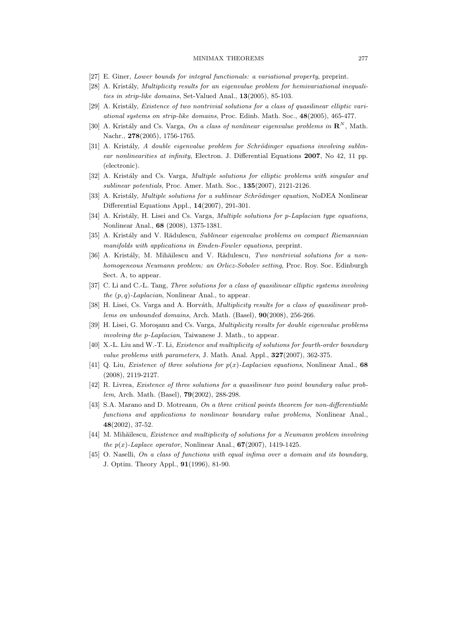## MINIMAX THEOREMS 277

- [27] E. Giner, Lower bounds for integral functionals: a variational property, preprint.
- [28] A. Kristály, Multiplicity results for an eigenvalue problem for hemivariational inequalities in strip-like domains, Set-Valued Anal., 13(2005), 85-103.
- $[29]$  A. Kristály, Existence of two nontrivial solutions for a class of quasilinear elliptic variational systems on strip-like domains, Proc. Edinb. Math. Soc., 48(2005), 465-477.
- [30] A. Kristály and Cs. Varga, On a class of nonlinear eigenvalue problems in  $\mathbb{R}^N$ , Math. Nachr., 278(2005), 1756-1765.
- $[31]$  A. Kristály, A double eigenvalue problem for Schrödinger equations involving sublinear nonlinearities at infinity, Electron. J. Differential Equations 2007, No 42, 11 pp. (electronic).
- [32] A. Kristály and Cs. Varga, *Multiple solutions for elliptic problems with singular and* sublinear potentials, Proc. Amer. Math. Soc., 135(2007), 2121-2126.
- [33] A. Kristály, *Multiple solutions for a sublinear Schrödinger equation*, NoDEA Nonlinear Differential Equations Appl., 14(2007), 291-301.
- [34] A. Kristály, H. Lisei and Cs. Varga, *Multiple solutions for p-Laplacian type equations*, Nonlinear Anal., 68 (2008), 1375-1381.
- [35] A. Kristály and V. Rădulescu, Sublinear eigenvalue problems on compact Riemannian manifolds with applications in Emden-Fowler equations, preprint.
- [36] A. Kristály, M. Mihăilescu and V. Rădulescu, Two nontrivial solutions for a nonhomogeneous Neumann problem: an Orlicz-Sobolev setting, Proc. Roy. Soc. Edinburgh Sect. A, to appear.
- [37] C. Li and C.-L. Tang, Three solutions for a class of quasilinear elliptic systems involving the  $(p, q)$ -Laplacian, Nonlinear Anal., to appear.
- [38] H. Lisei, Cs. Varga and A. Horváth, *Multiplicity results for a class of quasilinear prob*lems on unbounded domains, Arch. Math. (Basel), 90(2008), 256-266.
- [39] H. Lisei, G. Moroşanu and Cs. Varga, *Multiplicity results for double eigenvalue problems* involving the p-Laplacian, Taiwanese J. Math., to appear.
- [40] X.-L. Liu and W.-T. Li, Existence and multiplicity of solutions for fourth-order boundary value problems with parameters, J. Math. Anal. Appl.,  $327(2007)$ , 362-375.
- [41] Q. Liu, *Existence of three solutions for*  $p(x)$ -*Laplacian equations*, Nonlinear Anal., 68 (2008), 2119-2127.
- [42] R. Livrea, Existence of three solutions for a quasilinear two point boundary value problem, Arch. Math. (Basel), 79(2002), 288-298.
- [43] S.A. Marano and D. Motreanu, On a three critical points theorem for non-differentiable functions and applications to nonlinear boundary value problems, Nonlinear Anal., 48(2002), 37-52.
- [44] M. Mihăilescu, Existence and multiplicity of solutions for a Neumann problem involving the  $p(x)$ -Laplace operator, Nonlinear Anal.,  $67(2007)$ , 1419-1425.
- [45] O. Naselli, On a class of functions with equal infima over a domain and its boundary, J. Optim. Theory Appl., 91(1996), 81-90.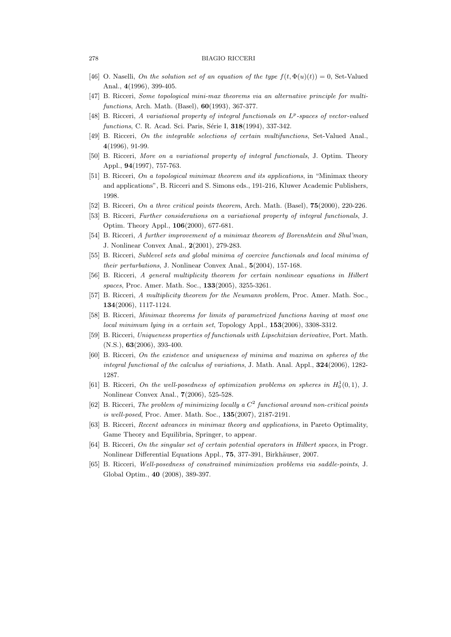#### 278 BIAGIO RICCERI

- [46] O. Naselli, On the solution set of an equation of the type  $f(t, \Phi(u)(t)) = 0$ , Set-Valued Anal., 4(1996), 399-405.
- [47] B. Ricceri, Some topological mini-max theorems via an alternative principle for multifunctions, Arch. Math. (Basel), 60(1993), 367-377.
- [48] B. Ricceri, A variational property of integral functionals on  $L^p$ -spaces of vector-valued functions, C. R. Acad. Sci. Paris, Série I, 318(1994), 337-342.
- [49] B. Ricceri, On the integrable selections of certain multifunctions, Set-Valued Anal., 4(1996), 91-99.
- [50] B. Ricceri, More on a variational property of integral functionals, J. Optim. Theory Appl., 94(1997), 757-763.
- [51] B. Ricceri, On a topological minimax theorem and its applications, in "Minimax theory and applications", B. Ricceri and S. Simons eds., 191-216, Kluwer Academic Publishers, 1998.
- [52] B. Ricceri, On a three critical points theorem, Arch. Math. (Basel), **75**(2000), 220-226.
- [53] B. Ricceri, Further considerations on a variational property of integral functionals, J. Optim. Theory Appl., 106(2000), 677-681.
- [54] B. Ricceri, A further improvement of a minimax theorem of Borenshtein and Shul'man, J. Nonlinear Convex Anal., 2(2001), 279-283.
- [55] B. Ricceri, Sublevel sets and global minima of coercive functionals and local minima of their perturbations, J. Nonlinear Convex Anal., 5(2004), 157-168.
- [56] B. Ricceri, A general multiplicity theorem for certain nonlinear equations in Hilbert spaces, Proc. Amer. Math. Soc., **133**(2005), 3255-3261.
- [57] B. Ricceri, A multiplicity theorem for the Neumann problem, Proc. Amer. Math. Soc., 134(2006), 1117-1124.
- [58] B. Ricceri, Minimax theorems for limits of parametrized functions having at most one local minimum lying in a certain set, Topology Appl., 153(2006), 3308-3312.
- [59] B. Ricceri, Uniqueness properties of functionals with Lipschitzian derivative, Port. Math. (N.S.), 63(2006), 393-400.
- [60] B. Ricceri, On the existence and uniqueness of minima and maxima on spheres of the integral functional of the calculus of variations, J. Math. Anal. Appl.,  $324(2006)$ , 1282-1287.
- [61] B. Ricceri, On the well-posedness of optimization problems on spheres in  $H_0^1(0,1)$ , J. Nonlinear Convex Anal., 7(2006), 525-528.
- [62] B. Ricceri, The problem of minimizing locally a  $C<sup>2</sup>$  functional around non-critical points is well-posed, Proc. Amer. Math. Soc., 135(2007), 2187-2191.
- [63] B. Ricceri, Recent advances in minimax theory and applications, in Pareto Optimality, Game Theory and Equilibria, Springer, to appear.
- [64] B. Ricceri, On the singular set of certain potential operators in Hilbert spaces, in Progr. Nonlinear Differential Equations Appl., 75, 377-391, Birkhäuser, 2007.
- [65] B. Ricceri, Well-posedness of constrained minimization problems via saddle-points, J. Global Optim., 40 (2008), 389-397.